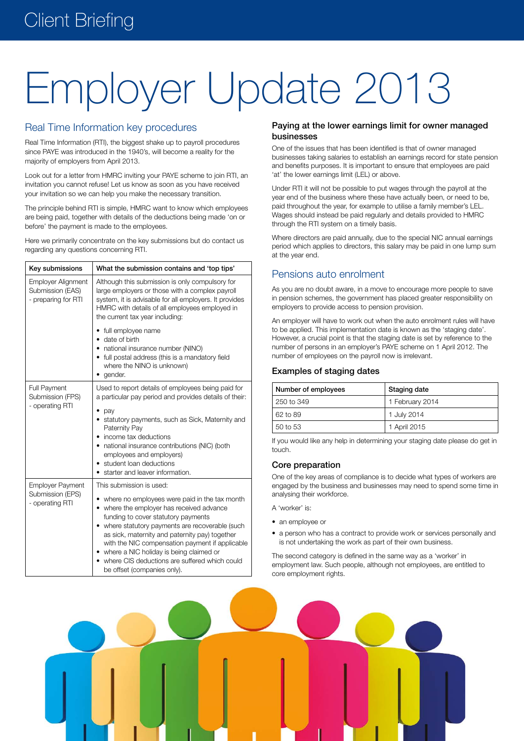# Employer Update 2013

# Real Time Information key procedures

Real Time Information (RTI), the biggest shake up to payroll procedures since PAYE was introduced in the 1940's, will become a reality for the majority of employers from April 2013.

Look out for a letter from HMRC inviting your PAYE scheme to join RTI, an invitation you cannot refuse! Let us know as soon as you have received your invitation so we can help you make the necessary transition.

The principle behind RTI is simple, HMRC want to know which employees are being paid, together with details of the deductions being made 'on or before' the payment is made to the employees.

Here we primarily concentrate on the key submissions but do contact us regarding any questions concerning RTI.

| Key submissions                                                      | What the submission contains and 'top tips'                                                                                                                                                                                                                                                                                                                                                                                                     |  |  |  |
|----------------------------------------------------------------------|-------------------------------------------------------------------------------------------------------------------------------------------------------------------------------------------------------------------------------------------------------------------------------------------------------------------------------------------------------------------------------------------------------------------------------------------------|--|--|--|
| <b>Employer Alignment</b><br>Submission (EAS)<br>- preparing for RTI | Although this submission is only compulsory for<br>large employers or those with a complex payroll<br>system, it is advisable for all employers. It provides<br>HMRC with details of all employees employed in<br>the current tax year including:                                                                                                                                                                                               |  |  |  |
|                                                                      | • full employee name<br>date of birth<br>national insurance number (NINO)<br>• full postal address (this is a mandatory field<br>where the NINO is unknown)<br>gender.                                                                                                                                                                                                                                                                          |  |  |  |
| <b>Full Payment</b><br>Submission (FPS)<br>- operating RTI           | Used to report details of employees being paid for<br>a particular pay period and provides details of their:<br>pay<br>statutory payments, such as Sick, Maternity and<br>Paternity Pay<br>income tax deductions<br>national insurance contributions (NIC) (both<br>employees and employers)<br>student loan deductions<br>starter and leaver information.                                                                                      |  |  |  |
| <b>Employer Payment</b><br>Submission (EPS)<br>- operating RTI       | This submission is used:<br>where no employees were paid in the tax month<br>where the employer has received advance<br>funding to cover statutory payments<br>where statutory payments are recoverable (such<br>as sick, maternity and paternity pay) together<br>with the NIC compensation payment if applicable<br>• where a NIC holiday is being claimed or<br>where CIS deductions are suffered which could<br>be offset (companies only). |  |  |  |

### Paying at the lower earnings limit for owner managed businesses

One of the issues that has been identified is that of owner managed businesses taking salaries to establish an earnings record for state pension and benefits purposes. It is important to ensure that employees are paid 'at' the lower earnings limit (LEL) or above.

Under RTI it will not be possible to put wages through the payroll at the year end of the business where these have actually been, or need to be, paid throughout the year, for example to utilise a family member's LEL. Wages should instead be paid regularly and details provided to HMRC through the RTI system on a timely basis.

Where directors are paid annually, due to the special NIC annual earnings period which applies to directors, this salary may be paid in one lump sum at the year end.

# Pensions auto enrolment

As you are no doubt aware, in a move to encourage more people to save in pension schemes, the government has placed greater responsibility on employers to provide access to pension provision.

An employer will have to work out when the auto enrolment rules will have to be applied. This implementation date is known as the 'staging date'. However, a crucial point is that the staging date is set by reference to the number of persons in an employer's PAYE scheme on 1 April 2012. The number of employees on the payroll now is irrelevant.

## Examples of staging dates

| Number of employees | Staging date    |  |  |
|---------------------|-----------------|--|--|
| 250 to 349          | 1 February 2014 |  |  |
| 62 to 89            | 1 July 2014     |  |  |
| 50 to 53            | 1 April 2015    |  |  |

If you would like any help in determining your staging date please do get in touch.

## Core preparation

One of the key areas of compliance is to decide what types of workers are engaged by the business and businesses may need to spend some time in analysing their workforce.

- A 'worker' is:
- an employee or
- a person who has a contract to provide work or services personally and is not undertaking the work as part of their own business.

The second category is defined in the same way as a 'worker' in employment law. Such people, although not employees, are entitled to core employment rights.